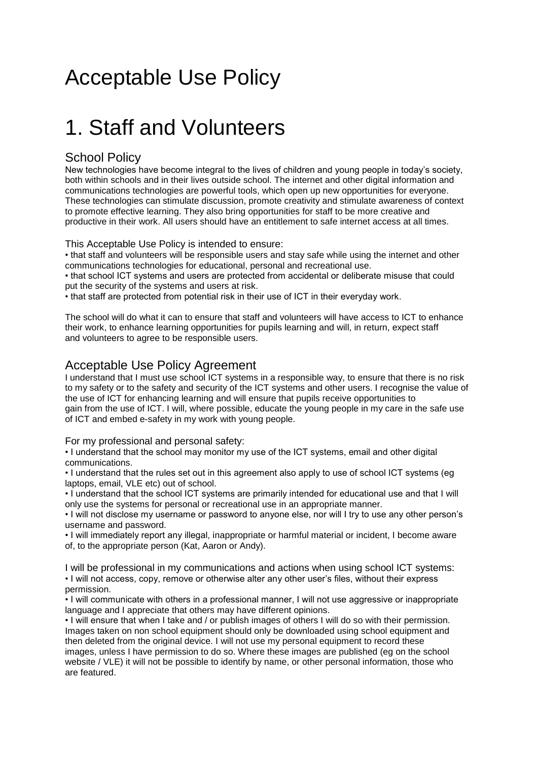### Acceptable Use Policy

### 1. Staff and Volunteers

### School Policy

New technologies have become integral to the lives of children and young people in today's society, both within schools and in their lives outside school. The internet and other digital information and communications technologies are powerful tools, which open up new opportunities for everyone. These technologies can stimulate discussion, promote creativity and stimulate awareness of context to promote effective learning. They also bring opportunities for staff to be more creative and productive in their work. All users should have an entitlement to safe internet access at all times.

This Acceptable Use Policy is intended to ensure:

• that staff and volunteers will be responsible users and stay safe while using the internet and other communications technologies for educational, personal and recreational use.

• that school ICT systems and users are protected from accidental or deliberate misuse that could put the security of the systems and users at risk.

• that staff are protected from potential risk in their use of ICT in their everyday work.

The school will do what it can to ensure that staff and volunteers will have access to ICT to enhance their work, to enhance learning opportunities for pupils learning and will, in return, expect staff and volunteers to agree to be responsible users.

### Acceptable Use Policy Agreement

I understand that I must use school ICT systems in a responsible way, to ensure that there is no risk to my safety or to the safety and security of the ICT systems and other users. I recognise the value of the use of ICT for enhancing learning and will ensure that pupils receive opportunities to gain from the use of ICT. I will, where possible, educate the young people in my care in the safe use of ICT and embed e-safety in my work with young people.

For my professional and personal safety:

• I understand that the school may monitor my use of the ICT systems, email and other digital communications.

• I understand that the rules set out in this agreement also apply to use of school ICT systems (eg laptops, email, VLE etc) out of school.

• I understand that the school ICT systems are primarily intended for educational use and that I will only use the systems for personal or recreational use in an appropriate manner.

• I will not disclose my username or password to anyone else, nor will I try to use any other person's username and password.

• I will immediately report any illegal, inappropriate or harmful material or incident, I become aware of, to the appropriate person (Kat, Aaron or Andy).

I will be professional in my communications and actions when using school ICT systems: • I will not access, copy, remove or otherwise alter any other user's files, without their express permission.

• I will communicate with others in a professional manner, I will not use aggressive or inappropriate language and I appreciate that others may have different opinions.

• I will ensure that when I take and / or publish images of others I will do so with their permission. Images taken on non school equipment should only be downloaded using school equipment and then deleted from the original device. I will not use my personal equipment to record these images, unless I have permission to do so. Where these images are published (eg on the school website / VLE) it will not be possible to identify by name, or other personal information, those who are featured.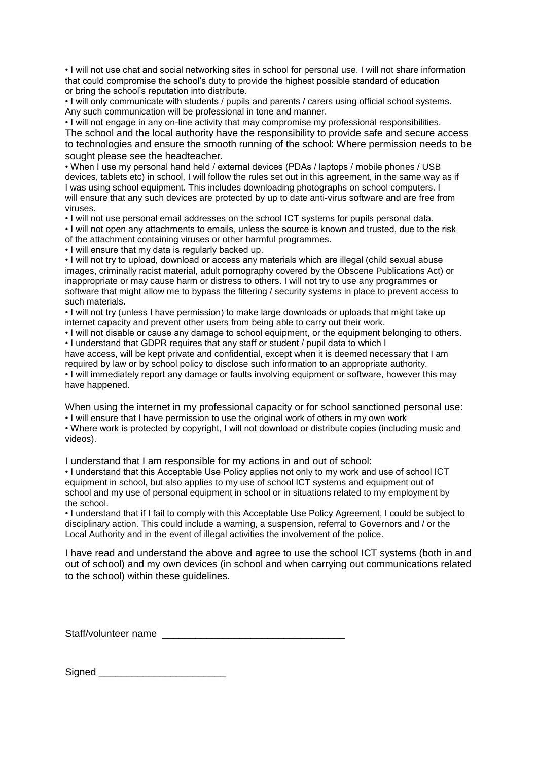• I will not use chat and social networking sites in school for personal use. I will not share information that could compromise the school's duty to provide the highest possible standard of education or bring the school's reputation into distribute.

• I will only communicate with students / pupils and parents / carers using official school systems. Any such communication will be professional in tone and manner.

• I will not engage in any on-line activity that may compromise my professional responsibilities. The school and the local authority have the responsibility to provide safe and secure access to technologies and ensure the smooth running of the school: Where permission needs to be sought please see the headteacher.

• When I use my personal hand held / external devices (PDAs / laptops / mobile phones / USB devices, tablets etc) in school, I will follow the rules set out in this agreement, in the same way as if I was using school equipment. This includes downloading photographs on school computers. I will ensure that any such devices are protected by up to date anti-virus software and are free from viruses.

• I will not use personal email addresses on the school ICT systems for pupils personal data.

• I will not open any attachments to emails, unless the source is known and trusted, due to the risk of the attachment containing viruses or other harmful programmes.

• I will ensure that my data is regularly backed up.

• I will not try to upload, download or access any materials which are illegal (child sexual abuse images, criminally racist material, adult pornography covered by the Obscene Publications Act) or inappropriate or may cause harm or distress to others. I will not try to use any programmes or software that might allow me to bypass the filtering / security systems in place to prevent access to such materials.

• I will not try (unless I have permission) to make large downloads or uploads that might take up internet capacity and prevent other users from being able to carry out their work.

• I will not disable or cause any damage to school equipment, or the equipment belonging to others. • I understand that GDPR requires that any staff or student / pupil data to which I

have access, will be kept private and confidential, except when it is deemed necessary that I am required by law or by school policy to disclose such information to an appropriate authority.

• I will immediately report any damage or faults involving equipment or software, however this may have happened.

When using the internet in my professional capacity or for school sanctioned personal use: • I will ensure that I have permission to use the original work of others in my own work

• Where work is protected by copyright, I will not download or distribute copies (including music and videos).

I understand that I am responsible for my actions in and out of school:

• I understand that this Acceptable Use Policy applies not only to my work and use of school ICT equipment in school, but also applies to my use of school ICT systems and equipment out of school and my use of personal equipment in school or in situations related to my employment by the school.

• I understand that if I fail to comply with this Acceptable Use Policy Agreement, I could be subject to disciplinary action. This could include a warning, a suspension, referral to Governors and / or the Local Authority and in the event of illegal activities the involvement of the police.

I have read and understand the above and agree to use the school ICT systems (both in and out of school) and my own devices (in school and when carrying out communications related to the school) within these guidelines.

Staff/volunteer name

Signed \_\_\_\_\_\_\_\_\_\_\_\_\_\_\_\_\_\_\_\_\_\_\_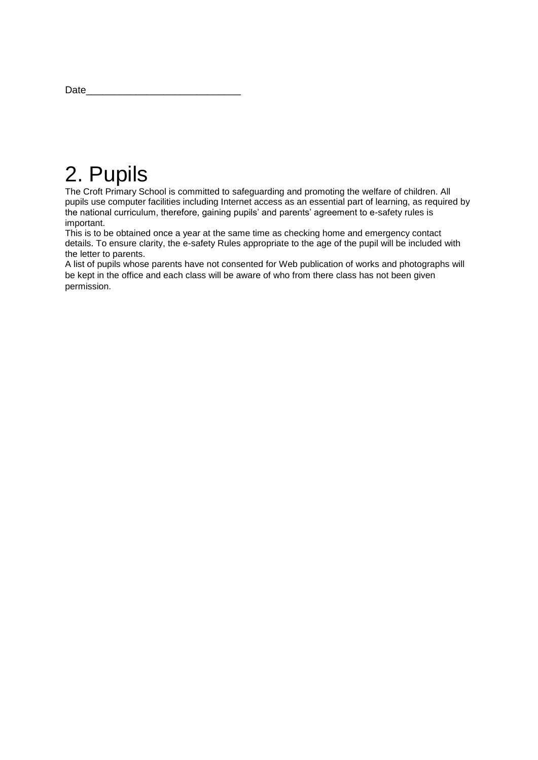| Date |
|------|
|      |

### 2. Pupils

The Croft Primary School is committed to safeguarding and promoting the welfare of children. All pupils use computer facilities including Internet access as an essential part of learning, as required by the national curriculum, therefore, gaining pupils' and parents' agreement to e-safety rules is important.

This is to be obtained once a year at the same time as checking home and emergency contact details. To ensure clarity, the e-safety Rules appropriate to the age of the pupil will be included with the letter to parents.

A list of pupils whose parents have not consented for Web publication of works and photographs will be kept in the office and each class will be aware of who from there class has not been given permission.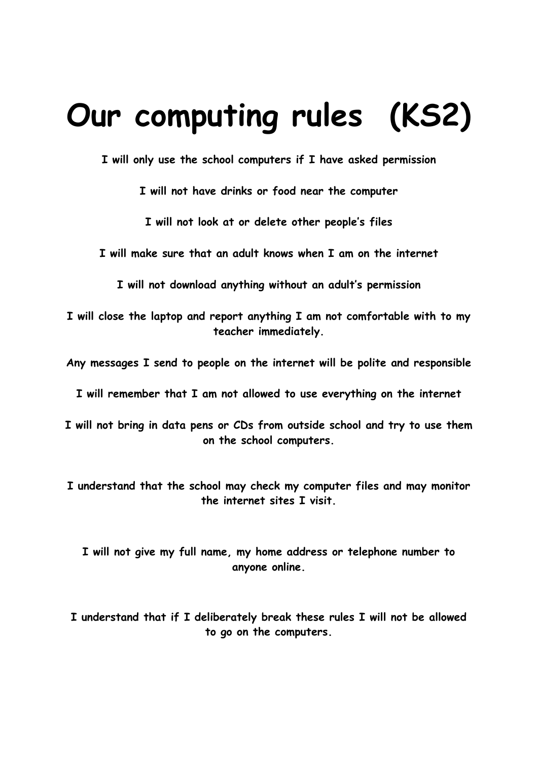# **Our computing rules (KS2)**

**I will only use the school computers if I have asked permission**

**I will not have drinks or food near the computer**

**I will not look at or delete other people's files**

**I will make sure that an adult knows when I am on the internet** 

**I will not download anything without an adult's permission**

**I will close the laptop and report anything I am not comfortable with to my teacher immediately.**

**Any messages I send to people on the internet will be polite and responsible**

**I will remember that I am not allowed to use everything on the internet**

**I will not bring in data pens or CDs from outside school and try to use them on the school computers.**

**I understand that the school may check my computer files and may monitor the internet sites I visit.**

**I will not give my full name, my home address or telephone number to anyone online.**

**I understand that if I deliberately break these rules I will not be allowed to go on the computers.**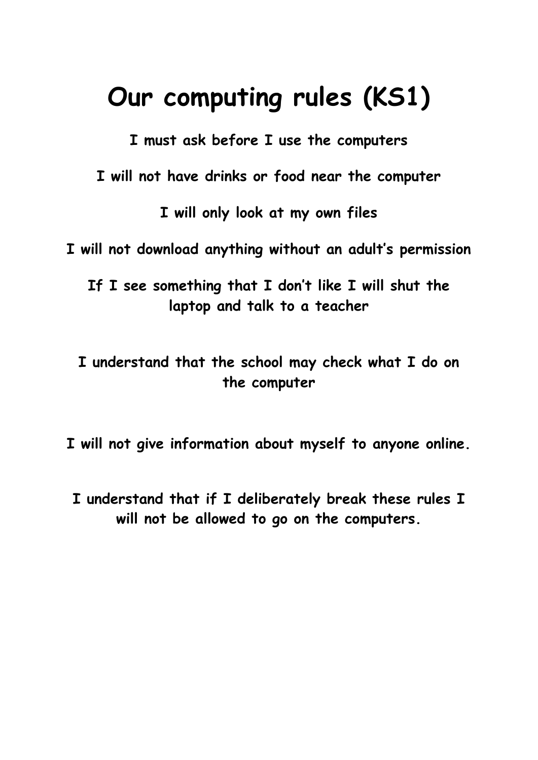## **Our computing rules (KS1)**

**I must ask before I use the computers**

**I will not have drinks or food near the computer**

**I will only look at my own files**

**I will not download anything without an adult's permission**

**If I see something that I don't like I will shut the laptop and talk to a teacher**

**I understand that the school may check what I do on the computer**

**I will not give information about myself to anyone online.**

**I understand that if I deliberately break these rules I will not be allowed to go on the computers.**